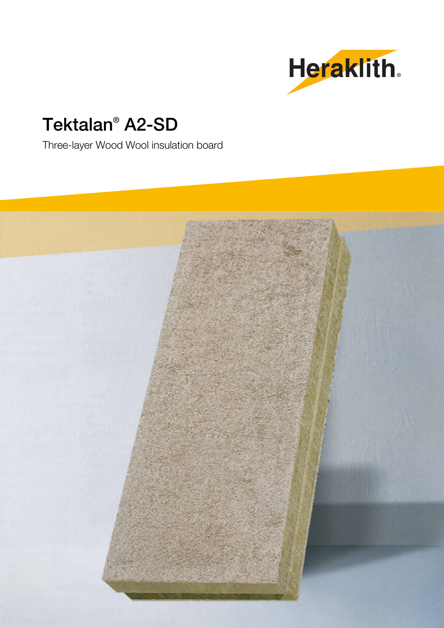

# Tektalan<sup>®</sup> A2-SD

Three-layer Wood Wool insulation board